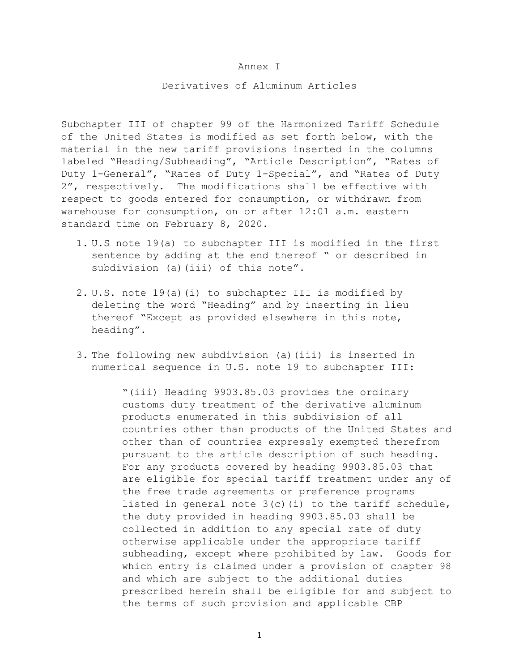## Annex I

## Derivatives of Aluminum Articles

Subchapter III of chapter 99 of the Harmonized Tariff Schedule of the United States is modified as set forth below, with the material in the new tariff provisions inserted in the columns labeled "Heading/Subheading", "Article Description", "Rates of Duty 1-General", "Rates of Duty 1-Special", and "Rates of Duty 2", respectively. The modifications shall be effective with respect to goods entered for consumption, or withdrawn from warehouse for consumption, on or after 12:01 a.m. eastern standard time on February 8, 2020.

- 1. U.S note 19(a) to subchapter III is modified in the first sentence by adding at the end thereof " or described in subdivision (a)(iii) of this note".
- 2. U.S. note 19(a)(i) to subchapter III is modified by deleting the word "Heading" and by inserting in lieu thereof "Except as provided elsewhere in this note, heading".
- 3. The following new subdivision (a)(iii) is inserted in numerical sequence in U.S. note 19 to subchapter III:

"(iii) Heading 9903.85.03 provides the ordinary customs duty treatment of the derivative aluminum products enumerated in this subdivision of all countries other than products of the United States and other than of countries expressly exempted therefrom pursuant to the article description of such heading. For any products covered by heading 9903.85.03 that are eligible for special tariff treatment under any of the free trade agreements or preference programs listed in general note  $3(c)$  (i) to the tariff schedule, the duty provided in heading 9903.85.03 shall be collected in addition to any special rate of duty otherwise applicable under the appropriate tariff subheading, except where prohibited by law. Goods for which entry is claimed under a provision of chapter 98 and which are subject to the additional duties prescribed herein shall be eligible for and subject to the terms of such provision and applicable CBP

1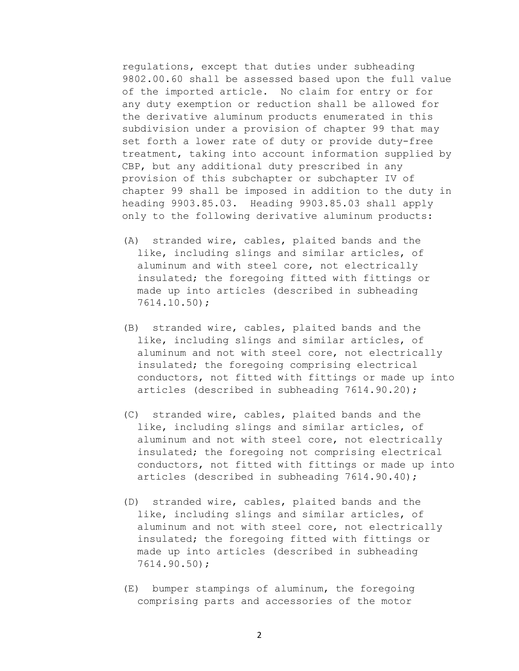regulations, except that duties under subheading 9802.00.60 shall be assessed based upon the full value of the imported article. No claim for entry or for any duty exemption or reduction shall be allowed for the derivative aluminum products enumerated in this subdivision under a provision of chapter 99 that may set forth a lower rate of duty or provide duty-free treatment, taking into account information supplied by CBP, but any additional duty prescribed in any provision of this subchapter or subchapter IV of chapter 99 shall be imposed in addition to the duty in heading 9903.85.03. Heading 9903.85.03 shall apply only to the following derivative aluminum products:

- (A) stranded wire, cables, plaited bands and the like, including slings and similar articles, of aluminum and with steel core, not electrically insulated; the foregoing fitted with fittings or made up into articles (described in subheading 7614.10.50);
- (B) stranded wire, cables, plaited bands and the like, including slings and similar articles, of aluminum and not with steel core, not electrically insulated; the foregoing comprising electrical conductors, not fitted with fittings or made up into articles (described in subheading 7614.90.20);
- (C) stranded wire, cables, plaited bands and the like, including slings and similar articles, of aluminum and not with steel core, not electrically insulated; the foregoing not comprising electrical conductors, not fitted with fittings or made up into articles (described in subheading 7614.90.40);
- (D) stranded wire, cables, plaited bands and the like, including slings and similar articles, of aluminum and not with steel core, not electrically insulated; the foregoing fitted with fittings or made up into articles (described in subheading 7614.90.50);
- (E) bumper stampings of aluminum, the foregoing comprising parts and accessories of the motor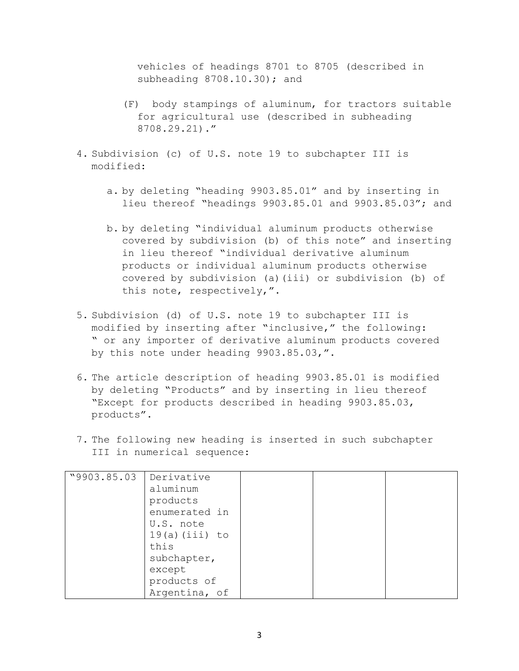vehicles of headings 8701 to 8705 (described in subheading 8708.10.30); and

- (F) body stampings of aluminum, for tractors suitable for agricultural use (described in subheading 8708.29.21)."
- 4. Subdivision (c) of U.S. note 19 to subchapter III is modified:
	- a. by deleting "heading 9903.85.01" and by inserting in lieu thereof "headings 9903.85.01 and 9903.85.03"; and
	- b. by deleting "individual aluminum products otherwise covered by subdivision (b) of this note" and inserting in lieu thereof "individual derivative aluminum products or individual aluminum products otherwise covered by subdivision (a)(iii) or subdivision (b) of this note, respectively,".
- 5. Subdivision (d) of U.S. note 19 to subchapter III is modified by inserting after "inclusive," the following: " or any importer of derivative aluminum products covered by this note under heading 9903.85.03,".
- 6. The article description of heading 9903.85.01 is modified by deleting "Products" and by inserting in lieu thereof "Except for products described in heading 9903.85.03, products".
- 7. The following new heading is inserted in such subchapter III in numerical sequence:

| "9903.85.03 | Derivative       |  |  |
|-------------|------------------|--|--|
|             | aluminum         |  |  |
|             | products         |  |  |
|             | enumerated in    |  |  |
|             | U.S. note        |  |  |
|             | $19(a)$ (iii) to |  |  |
|             | this             |  |  |
|             | subchapter,      |  |  |
|             | except           |  |  |
|             | products of      |  |  |
|             | Argentina, of    |  |  |